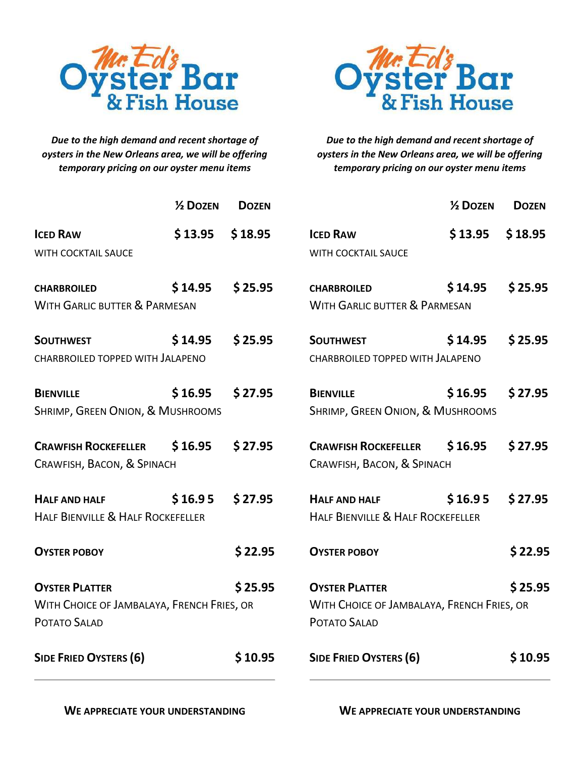

*Due to the high demand and recent shortage of oysters in the New Orleans area, we will be offering temporary pricing on our oyster menu items*



*Due to the high demand and recent shortage of oysters in the New Orleans area, we will be offering temporary pricing on our oyster menu items*

|                                                                | 1/2 DOZEN                                                                                                                                    | <b>DOZEN</b> |                                                                 | $\frac{1}{2}$ DOZEN | <b>DOZEN</b> |
|----------------------------------------------------------------|----------------------------------------------------------------------------------------------------------------------------------------------|--------------|-----------------------------------------------------------------|---------------------|--------------|
| <b>ICED RAW</b><br>WITH COCKTAIL SAUCE                         | \$13.95                                                                                                                                      | \$18.95      | <b>ICED RAW</b><br>WITH COCKTAIL SAUCE                          | \$13.95             | \$18.95      |
| <b>CHARBROILED</b><br><b>WITH GARLIC BUTTER &amp; PARMESAN</b> | \$14.95                                                                                                                                      | \$25.95      | <b>CHARBROILED</b><br><b>WITH GARLIC BUTTER &amp; PARMESAN</b>  | \$14.95             | \$25.95      |
| <b>SOUTHWEST</b><br>CHARBROILED TOPPED WITH JALAPENO           | \$14.95                                                                                                                                      | \$25.95      | <b>SOUTHWEST</b><br>CHARBROILED TOPPED WITH JALAPENO            | \$14.95             | \$25.95      |
| <b>BIENVILLE</b><br>SHRIMP, GREEN ONION, & MUSHROOMS           | \$16.95                                                                                                                                      | \$27.95      | \$16.95<br><b>BIENVILLE</b><br>SHRIMP, GREEN ONION, & MUSHROOMS |                     | \$27.95      |
| <b>CRAWFISH ROCKEFELLER</b><br>CRAWFISH, BACON, & SPINACH      | \$16.95                                                                                                                                      | \$27.95      | <b>CRAWFISH ROCKEFELLER</b><br>CRAWFISH, BACON, & SPINACH       | \$16.95             | \$27.95      |
| <b>HALF AND HALF</b><br>HALF BIENVILLE & HALF ROCKEFELLER      | \$16.95                                                                                                                                      | \$27.95      | <b>HALF AND HALF</b><br>HALF BIENVILLE & HALF ROCKEFELLER       | \$16.95             | \$27.95      |
| <b>OYSTER POBOY</b>                                            |                                                                                                                                              | \$22.95      | <b>OYSTER POBOY</b>                                             |                     | \$22.95      |
| <b>OYSTER PLATTER</b><br>POTATO SALAD                          | \$25.95<br><b>OYSTER PLATTER</b><br>WITH CHOICE OF JAMBALAYA, FRENCH FRIES, OR<br>WITH CHOICE OF JAMBALAYA, FRENCH FRIES, OR<br>POTATO SALAD |              |                                                                 | \$25.95             |              |
| <b>SIDE FRIED OYSTERS (6)</b>                                  |                                                                                                                                              | \$10.95      | <b>SIDE FRIED OYSTERS (6)</b>                                   |                     | \$10.95      |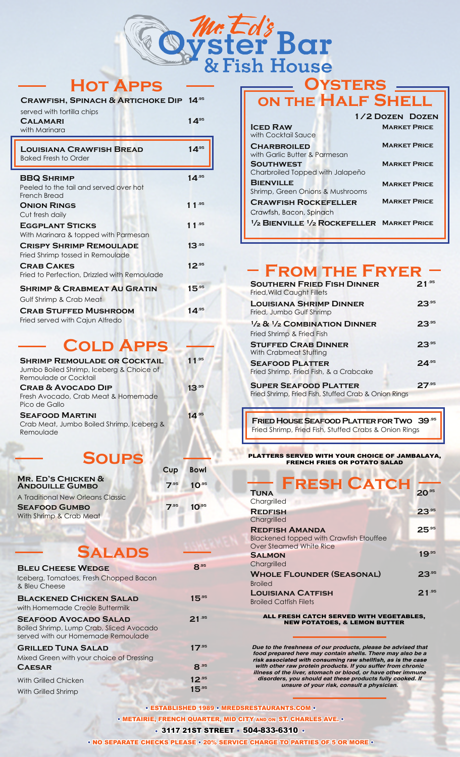

# **Hot Apps**

| <b>LOUISIANA CRAWFISH BREAD</b>                                | $1$ $A.95$                       |
|----------------------------------------------------------------|----------------------------------|
| served with tortilla chips<br><b>CALAMARI</b><br>with Marinara | 1 $\mathbf{\Lambda}^{\text{95}}$ |
| CRAWFISH, SPINACH & ARTICHOKE DIP 14 <sup>95</sup>             |                                  |

| <b>Baked Fresh to Order</b>                                        |            |
|--------------------------------------------------------------------|------------|
| <b>BBQ SHRIMP</b>                                                  | $14^{.95}$ |
| Peeled to the tail and served over hot<br>French Bread             |            |
| <b>ONION RINGS</b>                                                 | $11^{.95}$ |
| Cut fresh daily<br><b>EGGPLANT STICKS</b>                          | 1 1 $.95$  |
| With Marinara & topped with Parmesan                               |            |
| <b>CRISPY SHRIMP REMOULADE</b><br>Fried Shrimp tossed in Remoulade | $13^{.95}$ |
| <b>CRAB CAKES</b><br>Fried to Perfection, Drizzled with Remoulade  | $12^{.95}$ |
| <b>SHRIMP &amp; CRABMEAT AU GRATIN</b>                             | $15^{.95}$ |
| Gulf Shrimp & Crab Meat                                            |            |
| <b>CRAB STUFFED MUSHROOM</b><br>Fried served with Cajun Alfredo    | $14^{.95}$ |

### **Cold Apps**

| <b>SHRIMP REMOULADE OR COCKTAIL</b><br>Jumbo Boiled Shrimp, Iceberg & Choice of<br>Remoulade or Cocktail | 11.95      |
|----------------------------------------------------------------------------------------------------------|------------|
| <b>CRAB &amp; AVOCADO DIP</b><br>Fresh Avocado, Crab Meat & Homemade<br>Pico de Gallo                    | $13^{.95}$ |
| <b>SEAFOOD MARTINI</b><br>Crab Meat, Jumbo Boiled Shrimp, Iceberg &<br>Remoulade                         | $14^{.95}$ |

# **Sour**

| Cup  | <b>Bowl</b> |  |
|------|-------------|--|
| 7.95 | $10^{.95}$  |  |
|      |             |  |
| 7.95 | $10^{.95}$  |  |
|      |             |  |

# **Salads**

| <b>BLEU CHEESE WEDGE</b><br>Iceberg, Tomatoes, Fresh Chopped Bacon<br>& Bleu Cheese                            | $\mathbf{Q}$ .95         |
|----------------------------------------------------------------------------------------------------------------|--------------------------|
| <b>BLACKENED CHICKEN SALAD</b><br>with Homemade Creole Buttermilk                                              | $15^{.95}$               |
| <b>SEAFOOD AVOCADO SALAD</b><br>Boiled Shrimp, Lump Crab, Sliced Avocado<br>served with our Homemade Remoulade | $21^{.95}$               |
| <b>GRILLED TUNA SALAD</b><br>Mixed Green with your choice of Dressing<br><b>CAESAR</b>                         | $17^{.95}$<br>8.95       |
| With Grilled Chicken<br>With Grilled Shrimp                                                                    | $12^{.95}$<br>$15^{.95}$ |

# **ON THE HALF SHELL**

|                                                                                | 1/2 DOZEN DOZEN     |
|--------------------------------------------------------------------------------|---------------------|
| <b>ICED RAW</b><br>with Cocktail Sauce                                         | <b>MARKET PRICE</b> |
| <b>CHARBROILED</b><br>with Garlic Butter & Parmesan                            | <b>MARKET PRICE</b> |
| <b>SOUTHWEST</b><br>Charbroiled Topped with Jalapeño                           | <b>MARKET PRICE</b> |
| <b>BIENVILLE</b><br>Shrimp, Green Onions & Mushrooms                           | <b>MARKET PRICE</b> |
| <b>CRAWFISH ROCKEFELLER</b><br>Crawfish, Bacon, Spinach                        | <b>MARKET PRICE</b> |
| <sup>1</sup> / <sub>2</sub> BIENVILLE <sup>1</sup> /2 ROCKEFELLER MARKET PRICE |                     |

### **From the Fryer**

| <b>SOUTHERN FRIED FISH DINNER</b><br>Fried, Wild Caught Fillets                      | $21^{.95}$ |
|--------------------------------------------------------------------------------------|------------|
| <b>LOUISIANA SHRIMP DINNER</b><br>Fried, Jumbo Gulf Shrimp                           | $23^{.95}$ |
| $\frac{1}{2}$ & $\frac{1}{2}$ COMBINATION DINNER<br>Fried Shrimp & Fried Fish        | $23^{.95}$ |
| <b>STUFFED CRAB DINNER</b><br>With Crabmeat Stuffing                                 | $23^{.95}$ |
| <b>SEAFOOD PLATTER</b><br>Fried Shrimp, Fried Fish, & a Crabcake                     | $24^{.95}$ |
| <b>SUPER SEAFOOD PLATTER</b><br>Fried Shrimp, Fried Fish, Stuffed Crab & Onion Rings | $27^{.95}$ |

**Fried House Seafood Platter for Two 39.95** Fried Shrimp, Fried Fish, Stuffed Crabs & Onion Rings

#### PLATTERS SERVED WITH YOUR CHOICE OF JAMBALAYA, FRENCH FRIES OR POTATO SALAD

| <b>FRESH CATCH</b><br><b>TUNA</b><br>Chargrilled                                                   |            |
|----------------------------------------------------------------------------------------------------|------------|
| <b>REDFISH</b><br>Chargrilled                                                                      | $23^{.95}$ |
| <b>REDFISH AMANDA</b><br><b>Blackened topped with Crawfish Etouffee</b><br>Over Steamed White Rice | 25.95      |
| <b>SALMON</b><br>Chargrilled                                                                       | $19^{.95}$ |
| <b>WHOLE FLOUNDER (SEASONAL)</b><br><b>Broiled</b>                                                 | $23^{.95}$ |
| <b>LOUISIANA CATFISH</b><br><b>Broiled Catfish Filets</b>                                          | $21^{.95}$ |

#### ALL FRESH CATCH SERVED WITH VEGETABLES, NEW POTATOES, & LEMON BUTTER

*Due to the freshness of our products, please be advised that food prepared here may contain shells. There may also be a with other raw protein products. If you suffer from chronic illness of the liver, stomach or blood, or have other immune disorders, you should eat these products fully cooked. If unsure of your risk, consult a physician.*

• ESTABLISHED 1989 • MREDSRESTAURANTS.COM • • METAIRIE, FRENCH QUARTER, MID CITY AND ON ST. CHARLES AVE. • • 3117 21ST STREET • 504-833-6310 •

• NO SEPARATE CHECKS PLEASE • 20% SERVICE CHARGE TO PARTIES OF 5 OR MORE •